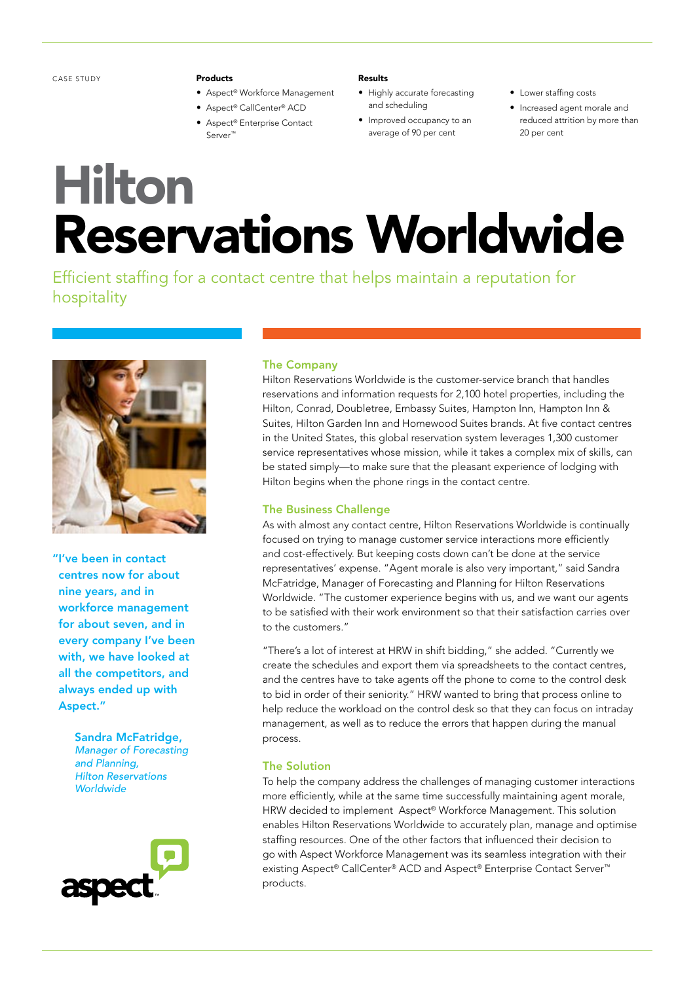CASE STUDY

#### Products

- • Aspect® Workforce Management
- • Aspect® CallCenter® ACD
- • Aspect® Enterprise Contact Server™

Results

- • Highly accurate forecasting and scheduling
- • Improved occupancy to an average of 90 per cent
- Lower staffing costs
- • Increased agent morale and reduced attrition by more than 20 per cent

# Hilton Reservations Worldwide

Efficient staffing for a contact centre that helps maintain a reputation for hospitality



"I've been in contact centres now for about nine years, and in workforce management for about seven, and in every company I've been with, we have looked at all the competitors, and always ended up with Aspect."

> Sandra McFatridge, *Manager of Forecasting and Planning, Hilton Reservations Worldwide*



### The Company

Hilton Reservations Worldwide is the customer-service branch that handles reservations and information requests for 2,100 hotel properties, including the Hilton, Conrad, Doubletree, Embassy Suites, Hampton Inn, Hampton Inn & Suites, Hilton Garden Inn and Homewood Suites brands. At five contact centres in the United States, this global reservation system leverages 1,300 customer service representatives whose mission, while it takes a complex mix of skills, can be stated simply—to make sure that the pleasant experience of lodging with Hilton begins when the phone rings in the contact centre.

## The Business Challenge

As with almost any contact centre, Hilton Reservations Worldwide is continually focused on trying to manage customer service interactions more efficiently and cost-effectively. But keeping costs down can't be done at the service representatives' expense. "Agent morale is also very important," said Sandra McFatridge, Manager of Forecasting and Planning for Hilton Reservations Worldwide. "The customer experience begins with us, and we want our agents to be satisfied with their work environment so that their satisfaction carries over to the customers."

"There's a lot of interest at HRW in shift bidding," she added. "Currently we create the schedules and export them via spreadsheets to the contact centres, and the centres have to take agents off the phone to come to the control desk to bid in order of their seniority." HRW wanted to bring that process online to help reduce the workload on the control desk so that they can focus on intraday management, as well as to reduce the errors that happen during the manual process.

## The Solution

To help the company address the challenges of managing customer interactions more efficiently, while at the same time successfully maintaining agent morale, HRW decided to implement Aspect® Workforce Management. This solution enables Hilton Reservations Worldwide to accurately plan, manage and optimise staffing resources. One of the other factors that influenced their decision to go with Aspect Workforce Management was its seamless integration with their existing Aspect® CallCenter® ACD and Aspect® Enterprise Contact Server<sup>™</sup> products.